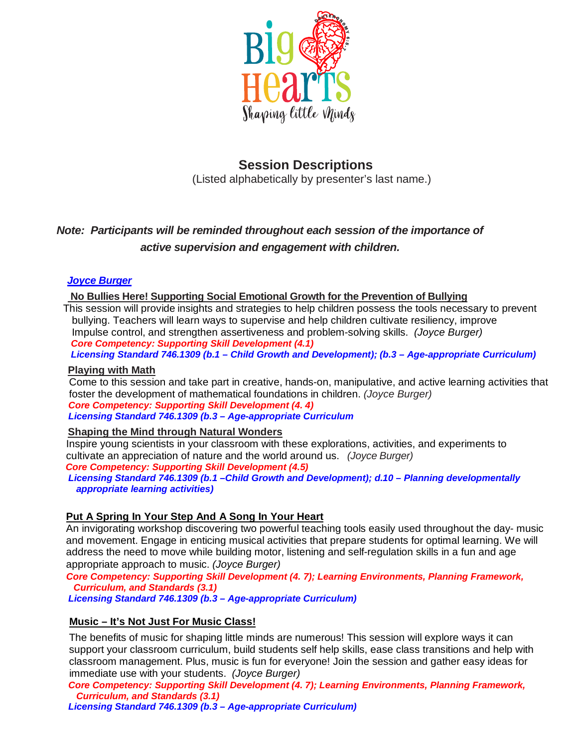

## **Session Descriptions**

(Listed alphabetically by presenter's last name.)

## *Note: Participants will be reminded throughout each session of the importance of active supervision and engagement with children.*

## *Joyce Burger*

**No Bullies Here! Supporting Social Emotional Growth for the Prevention of Bullying**

 This session will provide insights and strategies to help children possess the tools necessary to prevent bullying. Teachers will learn ways to supervise and help children cultivate resiliency, improve Impulse control, and strengthen assertiveness and problem-solving skills. *(Joyce Burger) Core Competency: Supporting Skill Development (4.1)*

 *Licensing Standard 746.1309 (b.1 – Child Growth and Development); (b.3 – Age-appropriate Curriculum)*

## **Playing with Math**

 Come to this session and take part in creative, hands-on, manipulative, and active learning activities that foster the development of mathematical foundations in children. *(Joyce Burger) Core Competency: Supporting Skill Development (4. 4) Licensing Standard 746.1309 (b.3 – Age-appropriate Curriculum*

## **Shaping the Mind through Natural Wonders**

 Inspire young scientists in your classroom with these explorations, activities, and experiments to cultivate an appreciation of nature and the world around us. *(Joyce Burger)*

 *Core Competency: Supporting Skill Development (4.5)*

 *Licensing Standard 746.1309 (b.1 –Child Growth and Development); d.10 – Planning developmentally appropriate learning activities)*

## **Put A Spring In Your Step And A Song In Your Heart**

 An invigorating workshop discovering two powerful teaching tools easily used throughout the day- music and movement. Engage in enticing musical activities that prepare students for optimal learning. We will address the need to move while building motor, listening and self-regulation skills in a fun and age appropriate approach to music. *(Joyce Burger)*

 *Core Competency: Supporting Skill Development (4. 7); Learning Environments, Planning Framework, Curriculum, and Standards (3.1)*

 *Licensing Standard 746.1309 (b.3 – Age-appropriate Curriculum)*

## **Music – It's Not Just For Music Class!**

 The benefits of music for shaping little minds are numerous! This session will explore ways it can support your classroom curriculum, build students self help skills, ease class transitions and help with classroom management. Plus, music is fun for everyone! Join the session and gather easy ideas for immediate use with your students. *(Joyce Burger)*

 *Core Competency: Supporting Skill Development (4. 7); Learning Environments, Planning Framework, Curriculum, and Standards (3.1)*

 *Licensing Standard 746.1309 (b.3 – Age-appropriate Curriculum)*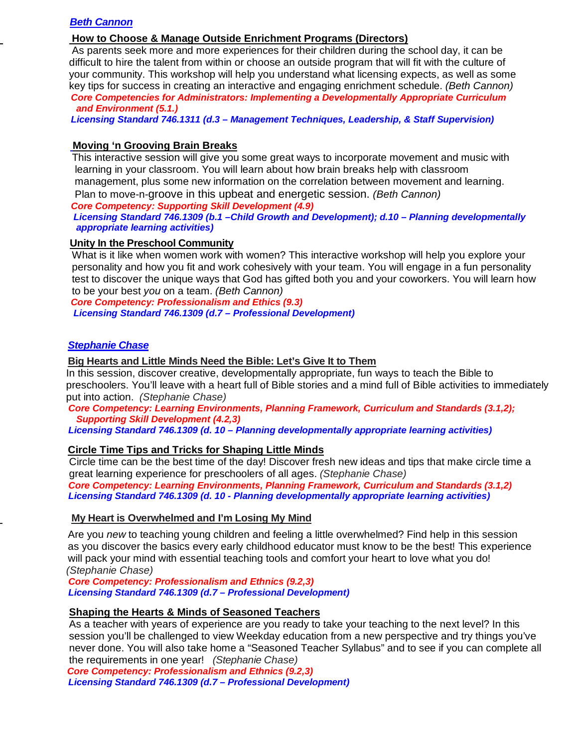## *Beth Cannon*

#### **How to Choose & Manage Outside Enrichment Programs (Directors)**

 As parents seek more and more experiences for their children during the school day, it can be difficult to hire the talent from within or choose an outside program that will fit with the culture of your community. This workshop will help you understand what licensing expects, as well as some key tips for success in creating an interactive and engaging enrichment schedule. *(Beth Cannon) Core Competencies for Administrators: Implementing a Developmentally Appropriate Curriculum and Environment (5.1.)*

 *Licensing Standard 746.1311 (d.3 – Management Techniques, Leadership, & Staff Supervision)*

#### **Moving 'n Grooving Brain Breaks**

 This interactive session will give you some great ways to incorporate movement and music with learning in your classroom. You will learn about how brain breaks help with classroom management, plus some new information on the correlation between movement and learning. Plan to move-n-groove in this upbeat and energetic session. *(Beth Cannon)*

 *Core Competency: Supporting Skill Development (4.9)*

 *Licensing Standard 746.1309 (b.1 –Child Growth and Development); d.10 – Planning developmentally appropriate learning activities)*

#### **Unity In the Preschool Community**

 What is it like when women work with women? This interactive workshop will help you explore your personality and how you fit and work cohesively with your team. You will engage in a fun personality test to discover the unique ways that God has gifted both you and your coworkers. You will learn how to be your best *you* on a team. *(Beth Cannon)*

 *Core Competency: Professionalism and Ethics (9.3) Licensing Standard 746.1309 (d.7 – Professional Development)*

#### *Stephanie Chase*

#### **Big Hearts and Little Minds Need the Bible: Let's Give It to Them**

 In this session, discover creative, developmentally appropriate, fun ways to teach the Bible to preschoolers. You'll leave with a heart full of Bible stories and a mind full of Bible activities to immediately put into action. *(Stephanie Chase)*

 *Core Competency: Learning Environments, Planning Framework, Curriculum and Standards (3.1,2); Supporting Skill Development (4.2,3)*

 *Licensing Standard 746.1309 (d. 10 – Planning developmentally appropriate learning activities)*

#### **Circle Time Tips and Tricks for Shaping Little Minds**

 Circle time can be the best time of the day! Discover fresh new ideas and tips that make circle time a great learning experience for preschoolers of all ages. *(Stephanie Chase)*

 *Core Competency: Learning Environments, Planning Framework, Curriculum and Standards (3.1,2) Licensing Standard 746.1309 (d. 10 - Planning developmentally appropriate learning activities)*

#### **My Heart is Overwhelmed and I'm Losing My Mind**

Are you *new* to teaching young children and feeling a little overwhelmed? Find help in this session as you discover the basics every early childhood educator must know to be the best! This experience will pack your mind with essential teaching tools and comfort your heart to love what you do! *(Stephanie Chase)*

 *Core Competency: Professionalism and Ethnics (9.2,3) Licensing Standard 746.1309 (d.7 – Professional Development)*

#### **Shaping the Hearts & Minds of Seasoned Teachers**

 As a teacher with years of experience are you ready to take your teaching to the next level? In this session you'll be challenged to view Weekday education from a new perspective and try things you've never done. You will also take home a "Seasoned Teacher Syllabus" and to see if you can complete all the requirements in one year! *(Stephanie Chase)*

 *Core Competency: Professionalism and Ethnics (9.2,3) Licensing Standard 746.1309 (d.7 – Professional Development)*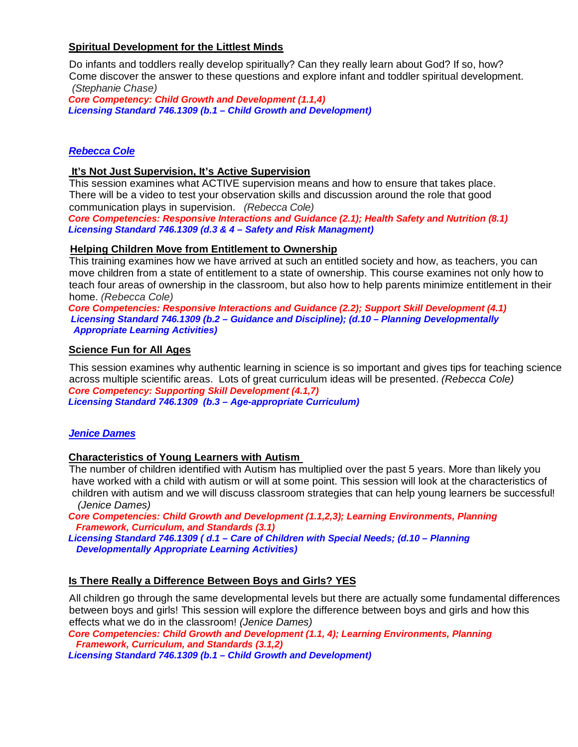## **Spiritual Development for the Littlest Minds**

 Do infants and toddlers really develop spiritually? Can they really learn about God? If so, how? Come discover the answer to these questions and explore infant and toddler spiritual development. *(Stephanie Chase)*

 *Core Competency: Child Growth and Development (1.1,4) Licensing Standard 746.1309 (b.1 – Child Growth and Development)*

## *Rebecca Cole*

## **It's Not Just Supervision, It's Active Supervision**

 This session examines what ACTIVE supervision means and how to ensure that takes place. There will be a video to test your observation skills and discussion around the role that good communication plays in supervision. *(Rebecca Cole)*

 *Core Competencies: Responsive Interactions and Guidance (2.1); Health Safety and Nutrition (8.1) Licensing Standard 746.1309 (d.3 & 4 – Safety and Risk Managment)*

### **Helping Children Move from Entitlement to Ownership**

 This training examines how we have arrived at such an entitled society and how, as teachers, you can move children from a state of entitlement to a state of ownership. This course examines not only how to teach four areas of ownership in the classroom, but also how to help parents minimize entitlement in their home. *(Rebecca Cole)*

 *Core Competencies: Responsive Interactions and Guidance (2.2); Support Skill Development (4.1) Licensing Standard 746.1309 (b.2 – Guidance and Discipline); (d.10 – Planning Developmentally Appropriate Learning Activities)*

### **Science Fun for All Ages**

 This session examines why authentic learning in science is so important and gives tips for teaching science across multiple scientific areas. Lots of great curriculum ideas will be presented. *(Rebecca Cole) Core Competency: Supporting Skill Development (4.1,7) Licensing Standard 746.1309 (b.3 – Age-appropriate Curriculum)*

#### *Jenice Dames*

#### **Characteristics of Young Learners with Autism**

 The number of children identified with Autism has multiplied over the past 5 years. More than likely you have worked with a child with autism or will at some point. This session will look at the characteristics of children with autism and we will discuss classroom strategies that can help young learners be successful! *(Jenice Dames)*

 *Core Competencies: Child Growth and Development (1.1,2,3); Learning Environments, Planning Framework, Curriculum, and Standards (3.1)*

 *Licensing Standard 746.1309 ( d.1 – Care of Children with Special Needs; (d.10 – Planning Developmentally Appropriate Learning Activities)*

## **Is There Really a Difference Between Boys and Girls? YES**

 All children go through the same developmental levels but there are actually some fundamental differences between boys and girls! This session will explore the difference between boys and girls and how this effects what we do in the classroom! *(Jenice Dames)*

 *Core Competencies: Child Growth and Development (1.1, 4); Learning Environments, Planning Framework, Curriculum, and Standards (3.1,2)*

 *Licensing Standard 746.1309 (b.1 – Child Growth and Development)*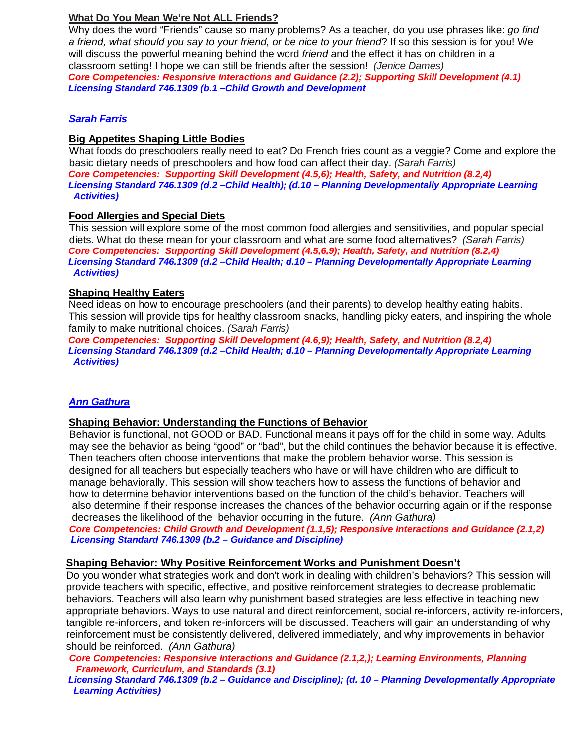## **What Do You Mean We're Not ALL Friends?**

Why does the word "Friends" cause so many problems? As a teacher, do you use phrases like: *go find a friend, what should you say to your friend, or be nice to your friend*? If so this session is for you! We will discuss the powerful meaning behind the word *friend* and the effect it has on children in a classroom setting! I hope we can still be friends after the session! *(Jenice Dames) Core Competencies: Responsive Interactions and Guidance (2.2); Supporting Skill Development (4.1) Licensing Standard 746.1309 (b.1 –Child Growth and Development*

## *Sarah Farris*

## **Big Appetites Shaping Little Bodies**

 What foods do preschoolers really need to eat? Do French fries count as a veggie? Come and explore the basic dietary needs of preschoolers and how food can affect their day. *(Sarah Farris) Core Competencies: Supporting Skill Development (4.5,6); Health, Safety, and Nutrition (8.2,4) Licensing Standard 746.1309 (d.2 –Child Health); (d.10 – Planning Developmentally Appropriate Learning Activities)*

## **Food Allergies and Special Diets**

 This session will explore some of the most common food allergies and sensitivities, and popular special diets. What do these mean for your classroom and what are some food alternatives? *(Sarah Farris) Core Competencies: Supporting Skill Development (4.5,6,9); Health, Safety, and Nutrition (8.2,4) Licensing Standard 746.1309 (d.2 –Child Health; d.10 – Planning Developmentally Appropriate Learning Activities)*

## **Shaping Healthy Eaters**

Need ideas on how to encourage preschoolers (and their parents) to develop healthy eating habits. This session will provide tips for healthy classroom snacks, handling picky eaters, and inspiring the whole family to make nutritional choices. *(Sarah Farris)*

 *Core Competencies: Supporting Skill Development (4.6,9); Health, Safety, and Nutrition (8.2,4) Licensing Standard 746.1309 (d.2 –Child Health; d.10 – Planning Developmentally Appropriate Learning Activities)*

## *Ann Gathura*

## **Shaping Behavior: Understanding the Functions of Behavior**

 Behavior is functional, not GOOD or BAD. Functional means it pays off for the child in some way. Adults may see the behavior as being "good" or "bad", but the child continues the behavior because it is effective. Then teachers often choose interventions that make the problem behavior worse. This session is designed for all teachers but especially teachers who have or will have children who are difficult to manage behaviorally. This session will show teachers how to assess the functions of behavior and how to determine behavior interventions based on the function of the child's behavior. Teachers will also determine if their response increases the chances of the behavior occurring again or if the response decreases the likelihood of the behavior occurring in the future. *(Ann Gathura)*

 *Core Competencies: Child Growth and Development (1.1,5); Responsive Interactions and Guidance (2.1,2) Licensing Standard 746.1309 (b.2 – Guidance and Discipline)*

## **Shaping Behavior: Why Positive Reinforcement Works and Punishment Doesn't**

 Do you wonder what strategies work and don't work in dealing with children's behaviors? This session will provide teachers with specific, effective, and positive reinforcement strategies to decrease problematic behaviors. Teachers will also learn why punishment based strategies are less effective in teaching new appropriate behaviors. Ways to use natural and direct reinforcement, social re-inforcers, activity re-inforcers, tangible re-inforcers, and token re-inforcers will be discussed. Teachers will gain an understanding of why reinforcement must be consistently delivered, delivered immediately, and why improvements in behavior should be reinforced. *(Ann Gathura)*

 *Core Competencies: Responsive Interactions and Guidance (2.1,2,); Learning Environments, Planning Framework, Curriculum, and Standards (3.1)*

 *Licensing Standard 746.1309 (b.2 – Guidance and Discipline); (d. 10 – Planning Developmentally Appropriate Learning Activities)*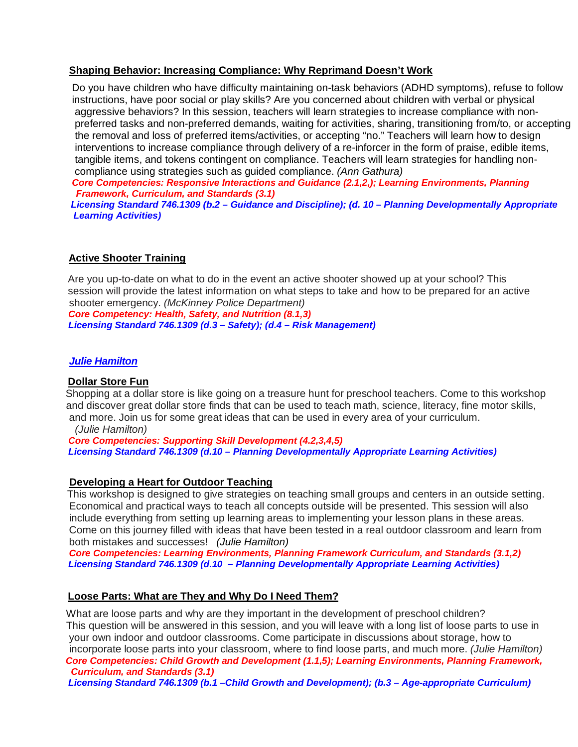#### **Shaping Behavior: Increasing Compliance: Why Reprimand Doesn't Work**

 Do you have children who have difficulty maintaining on-task behaviors (ADHD symptoms), refuse to follow instructions, have poor social or play skills? Are you concerned about children with verbal or physical aggressive behaviors? In this session, teachers will learn strategies to increase compliance with non preferred tasks and non-preferred demands, waiting for activities, sharing, transitioning from/to, or accepting the removal and loss of preferred items/activities, or accepting "no." Teachers will learn how to design interventions to increase compliance through delivery of a re-inforcer in the form of praise, edible items, tangible items, and tokens contingent on compliance. Teachers will learn strategies for handling non compliance using strategies such as guided compliance. *(Ann Gathura)*

 *Core Competencies: Responsive Interactions and Guidance (2.1,2,); Learning Environments, Planning Framework, Curriculum, and Standards (3.1)*

 *Licensing Standard 746.1309 (b.2 – Guidance and Discipline); (d. 10 – Planning Developmentally Appropriate Learning Activities)* 

### **Active Shooter Training**

Are you up-to-date on what to do in the event an active shooter showed up at your school? This session will provide the latest information on what steps to take and how to be prepared for an active shooter emergency. *(McKinney Police Department)*

 *Core Competency: Health, Safety, and Nutrition (8.1,3) Licensing Standard 746.1309 (d.3 – Safety); (d.4 – Risk Management)* 

#### *Julie Hamilton*

#### **Dollar Store Fun**

 Shopping at a dollar store is like going on a treasure hunt for preschool teachers. Come to this workshop and discover great dollar store finds that can be used to teach math, science, literacy, fine motor skills, and more. Join us for some great ideas that can be used in every area of your curriculum.

*(Julie Hamilton)*

 *Core Competencies: Supporting Skill Development (4.2,3,4,5) Licensing Standard 746.1309 (d.10 – Planning Developmentally Appropriate Learning Activities)* 

#### **Developing a Heart for Outdoor Teaching**

 This workshop is designed to give strategies on teaching small groups and centers in an outside setting. Economical and practical ways to teach all concepts outside will be presented. This session will also include everything from setting up learning areas to implementing your lesson plans in these areas. Come on this journey filled with ideas that have been tested in a real outdoor classroom and learn from both mistakes and successes! *(Julie Hamilton)*

 *Core Competencies: Learning Environments, Planning Framework Curriculum, and Standards (3.1,2) Licensing Standard 746.1309 (d.10 – Planning Developmentally Appropriate Learning Activities)* 

#### **Loose Parts: What are They and Why Do I Need Them?**

 What are loose parts and why are they important in the development of preschool children? This question will be answered in this session, and you will leave with a long list of loose parts to use in your own indoor and outdoor classrooms. Come participate in discussions about storage, how to incorporate loose parts into your classroom, where to find loose parts, and much more. *(Julie Hamilton) Core Competencies: Child Growth and Development (1.1,5); Learning Environments, Planning Framework, Curriculum, and Standards (3.1)*

 *Licensing Standard 746.1309 (b.1 –Child Growth and Development); (b.3 – Age-appropriate Curriculum)*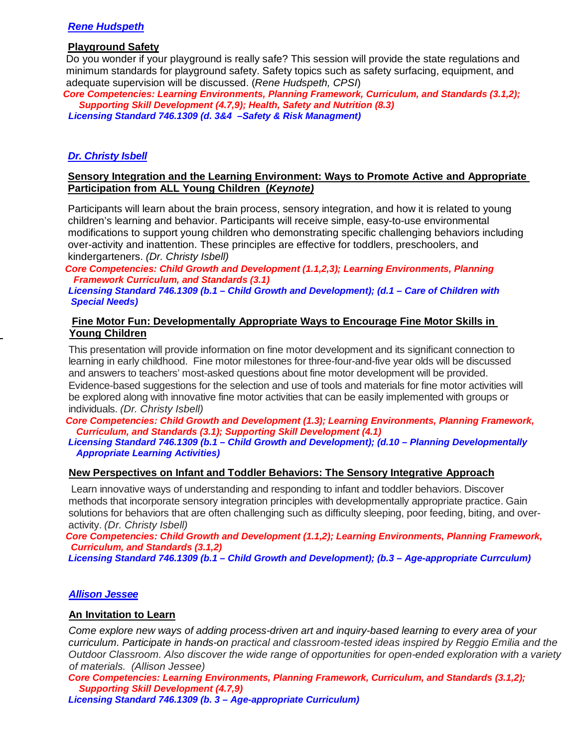## *Rene Hudspeth*

#### **Playground Safety**

 Do you wonder if your playground is really safe? This session will provide the state regulations and minimum standards for playground safety. Safety topics such as safety surfacing, equipment, and adequate supervision will be discussed. (*Rene Hudspeth, CPSI*)

 *Core Competencies: Learning Environments, Planning Framework, Curriculum, and Standards (3.1,2); Supporting Skill Development (4.7,9); Health, Safety and Nutrition (8.3) Licensing Standard 746.1309 (d. 3&4 –Safety & Risk Managment)* 

#### *Dr. Christy Isbell*

#### **Sensory Integration and the Learning Environment: Ways to Promote Active and Appropriate Participation from ALL Young Children (***Keynote)*

Participants will learn about the brain process, sensory integration, and how it is related to young children's learning and behavior. Participants will receive simple, easy-to-use environmental modifications to support young children who demonstrating specific challenging behaviors including over-activity and inattention. These principles are effective for toddlers, preschoolers, and kindergarteners. *(Dr. Christy Isbell)*

Core Competencies: Child Growth and Development (1.1,2,3); Learning Environments, Planning  *Framework Curriculum, and Standards (3.1)*

 *Licensing Standard 746.1309 (b.1 – Child Growth and Development); (d.1 – Care of Children with Special Needs)* 

#### **Fine Motor Fun: Developmentally Appropriate Ways to Encourage Fine Motor Skills in Young Children**

This presentation will provide information on fine motor development and its significant connection to learning in early childhood. Fine motor milestones for three-four-and-five year olds will be discussed and answers to teachers' most-asked questions about fine motor development will be provided. Evidence-based suggestions for the selection and use of tools and materials for fine motor activities will be explored along with innovative fine motor activities that can be easily implemented with groups or individuals. *(Dr. Christy Isbell)*

 *Core Competencies: Child Growth and Development (1.3); Learning Environments, Planning Framework, Curriculum, and Standards (3.1); Supporting Skill Development (4.1)*

 *Licensing Standard 746.1309 (b.1 – Child Growth and Development); (d.10 – Planning Developmentally Appropriate Learning Activities)* 

#### **New Perspectives on Infant and Toddler Behaviors: The Sensory Integrative Approach**

Learn innovative ways of understanding and responding to infant and toddler behaviors. Discover methods that incorporate sensory integration principles with developmentally appropriate practice. Gain solutions for behaviors that are often challenging such as difficulty sleeping, poor feeding, biting, and overactivity. *(Dr. Christy Isbell)*

 *Core Competencies: Child Growth and Development (1.1,2); Learning Environments, Planning Framework, Curriculum, and Standards (3.1,2)*

 *Licensing Standard 746.1309 (b.1 – Child Growth and Development); (b.3 – Age-appropriate Currculum)*

#### *Allison Jessee*

#### **An Invitation to Learn**

*Come explore new ways of adding process-driven art and inquiry-based learning to every area of your curriculum. Participate in hands-on practical and classroom-tested ideas inspired by Reggio Emilia and the Outdoor Classroom. Also discover the wide range of opportunities for open-ended exploration with a variety of materials. (Allison Jessee)*

 *Core Competencies: Learning Environments, Planning Framework, Curriculum, and Standards (3.1,2); Supporting Skill Development (4.7,9)*

 *Licensing Standard 746.1309 (b. 3 – Age-appropriate Curriculum)*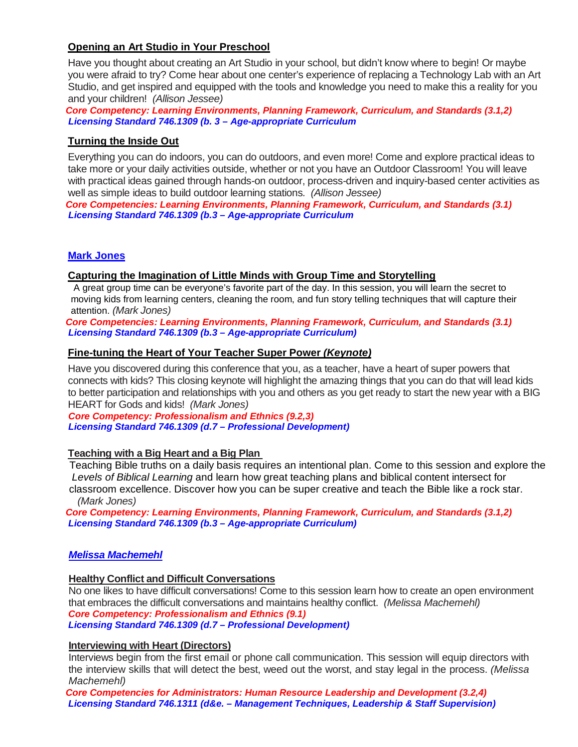## **Opening an Art Studio in Your Preschool**

Have you thought about creating an Art Studio in your school, but didn't know where to begin! Or maybe you were afraid to try? Come hear about one center's experience of replacing a Technology Lab with an Art Studio, and get inspired and equipped with the tools and knowledge you need to make this a reality for you and your children! *(Allison Jessee)*

 *Core Competency: Learning Environments, Planning Framework, Curriculum, and Standards (3.1,2) Licensing Standard 746.1309 (b. 3 – Age-appropriate Curriculum*

## **Turning the Inside Out**

Everything you can do indoors, you can do outdoors, and even more! Come and explore practical ideas to take more or your daily activities outside, whether or not you have an Outdoor Classroom! You will leave with practical ideas gained through hands-on outdoor, process-driven and inquiry-based center activities as well as simple ideas to build outdoor learning stations*. (Allison Jessee)*

 *Core Competencies: Learning Environments, Planning Framework, Curriculum, and Standards (3.1) Licensing Standard 746.1309 (b.3 – Age-appropriate Curriculum*

### **Mark Jones**

#### **Capturing the Imagination of Little Minds with Group Time and Storytelling**

 A great group time can be everyone's favorite part of the day. In this session, you will learn the secret to moving kids from learning centers, cleaning the room, and fun story telling techniques that will capture their attention. *(Mark Jones)*

 *Core Competencies: Learning Environments, Planning Framework, Curriculum, and Standards (3.1) Licensing Standard 746.1309 (b.3 – Age-appropriate Curriculum)*

#### **Fine-tuning the Heart of Your Teacher Super Power** *(Keynote)*

Have you discovered during this conference that you, as a teacher, have a heart of super powers that connects with kids? This closing keynote will highlight the amazing things that you can do that will lead kids to better participation and relationships with you and others as you get ready to start the new year with a BIG HEART for Gods and kids! *(Mark Jones)*

 *Core Competency: Professionalism and Ethnics (9.2,3) Licensing Standard 746.1309 (d.7 – Professional Development)*

## **Teaching with a Big Heart and a Big Plan**

 Teaching Bible truths on a daily basis requires an intentional plan. Come to this session and explore the *Levels of Biblical Learning* and learn how great teaching plans and biblical content intersect for classroom excellence. Discover how you can be super creative and teach the Bible like a rock star. *(Mark Jones)*

 *Core Competency: Learning Environments, Planning Framework, Curriculum, and Standards (3.1,2) Licensing Standard 746.1309 (b.3 – Age-appropriate Curriculum)*

## *Melissa Machemehl*

#### **Healthy Conflict and Difficult Conversations**

No one likes to have difficult conversations! Come to this session learn how to create an open environment that embraces the difficult conversations and maintains healthy conflict. *(Melissa Machemehl) Core Competency: Professionalism and Ethnics (9.1)*

 *Licensing Standard 746.1309 (d.7 – Professional Development)*

#### **Interviewing with Heart (Directors)**

Interviews begin from the first email or phone call communication. This session will equip directors with the interview skills that will detect the best, weed out the worst, and stay legal in the process. *(Melissa Machemehl)*

 *Core Competencies for Administrators: Human Resource Leadership and Development (3.2,4) Licensing Standard 746.1311 (d&e. – Management Techniques, Leadership & Staff Supervision)*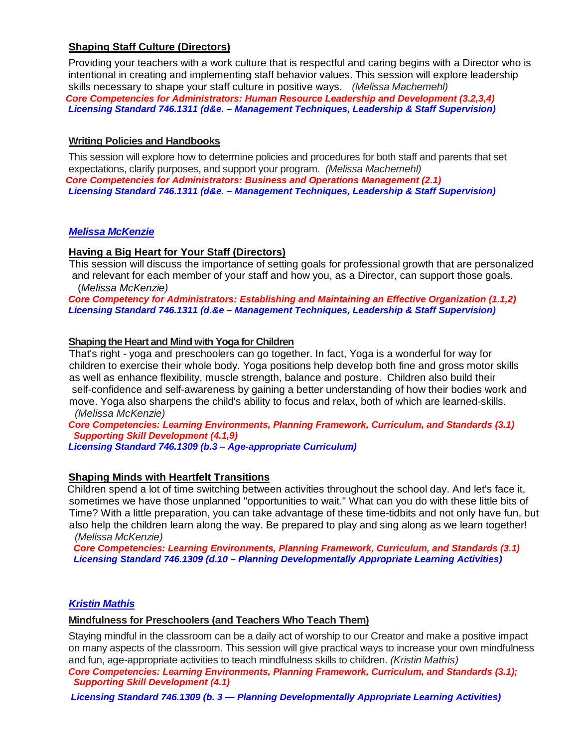## **Shaping Staff Culture (Directors)**

Providing your teachers with a work culture that is respectful and caring begins with a Director who is intentional in creating and implementing staff behavior values. This session will explore leadership skills necessary to shape your staff culture in positive ways. *(Melissa Machemehl) Core Competencies for Administrators: Human Resource Leadership and Development (3.2,3,4) Licensing Standard 746.1311 (d&e. – Management Techniques, Leadership & Staff Supervision)*

## **Writing Policies and Handbooks**

This session will explore how to determine policies and procedures for both staff and parents that set expectations, clarify purposes, and support your program. *(Melissa Machemehl) Core Competencies for Administrators: Business and Operations Management (2.1) Licensing Standard 746.1311 (d&e. – Management Techniques, Leadership & Staff Supervision)*

## *Melissa McKenzie*

## **Having a Big Heart for Your Staff (Directors)**

 This session will discuss the importance of setting goals for professional growth that are personalized and relevant for each member of your staff and how you, as a Director, can support those goals. (*Melissa McKenzie)*

 *Core Competency for Administrators: Establishing and Maintaining an Effective Organization (1.1,2) Licensing Standard 746.1311 (d.&e – Management Techniques, Leadership & Staff Supervision)*

## **Shaping the Heart and Mind with Yoga for Children**

 That's right - yoga and preschoolers can go together. In fact, Yoga is a wonderful for way for children to exercise their whole body. Yoga positions help develop both fine and gross motor skills as well as enhance flexibility, muscle strength, balance and posture. Children also build their self-confidence and self-awareness by gaining a better understanding of how their bodies work and move. Yoga also sharpens the child's ability to focus and relax, both of which are learned-skills. *(Melissa McKenzie)*

 *Core Competencies: Learning Environments, Planning Framework, Curriculum, and Standards (3.1) Supporting Skill Development (4.1,9)*

 *Licensing Standard 746.1309 (b.3 – Age-appropriate Curriculum)* 

## **Shaping Minds with Heartfelt Transitions**

 Children spend a lot of time switching between activities throughout the school day. And let's face it, sometimes we have those unplanned "opportunities to wait." What can you do with these little bits of Time? With a little preparation, you can take advantage of these time-tidbits and not only have fun, but also help the children learn along the way. Be prepared to play and sing along as we learn together! *(Melissa McKenzie)*

 *Core Competencies: Learning Environments, Planning Framework, Curriculum, and Standards (3.1) Licensing Standard 746.1309 (d.10 – Planning Developmentally Appropriate Learning Activities)*

## *Kristin Mathis*

## **Mindfulness for Preschoolers (and Teachers Who Teach Them)**

Staying mindful in the classroom can be a daily act of worship to our Creator and make a positive impact on many aspects of the classroom. This session will give practical ways to increase your own mindfulness and fun, age-appropriate activities to teach mindfulness skills to children. *(Kristin Mathis)*

 *Core Competencies: Learning Environments, Planning Framework, Curriculum, and Standards (3.1); Supporting Skill Development (4.1)* 

 *Licensing Standard 746.1309 (b. 3 — Planning Developmentally Appropriate Learning Activities)*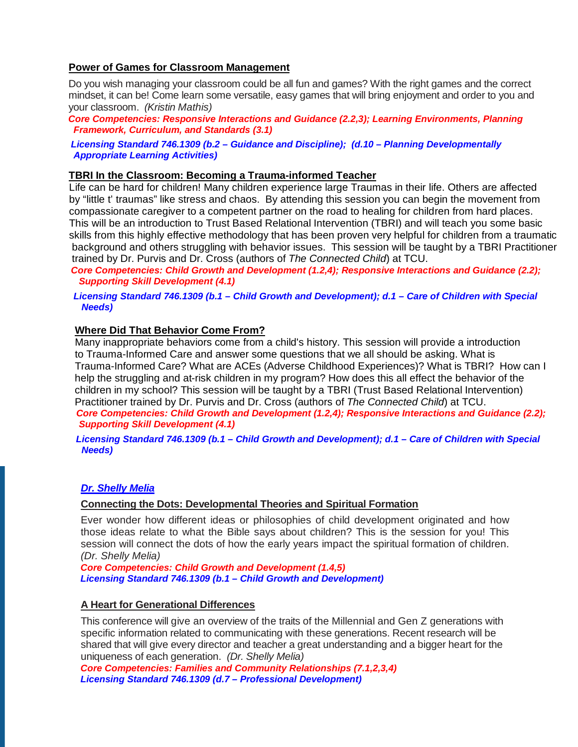## **Power of Games for Classroom Management**

Do you wish managing your classroom could be all fun and games? With the right games and the correct mindset, it can be! Come learn some versatile, easy games that will bring enjoyment and order to you and your classroom. *(Kristin Mathis)*

 *Core Competencies: Responsive Interactions and Guidance (2.2,3); Learning Environments, Planning Framework, Curriculum, and Standards (3.1)*

 *Licensing Standard 746.1309 (b.2 – Guidance and Discipline); (d.10 – Planning Developmentally Appropriate Learning Activities)*

#### **TBRI In the Classroom: Becoming a Trauma-informed Teacher**

 Life can be hard for children! Many children experience large Traumas in their life. Others are affected by "little t' traumas" like stress and chaos. By attending this session you can begin the movement from compassionate caregiver to a competent partner on the road to healing for children from hard places. This will be an introduction to Trust Based Relational Intervention (TBRI) and will teach you some basic skills from this highly effective methodology that has been proven very helpful for children from a traumatic background and others struggling with behavior issues. This session will be taught by a TBRI Practitioner trained by Dr. Purvis and Dr. Cross (authors of *The Connected Child*) at TCU.

 *Core Competencies: Child Growth and Development (1.2,4); Responsive Interactions and Guidance (2.2); Supporting Skill Development (4.1)*

 *Licensing Standard 746.1309 (b.1 – Child Growth and Development); d.1 – Care of Children with Special Needs)*

#### **Where Did That Behavior Come From?**

 Many inappropriate behaviors come from a child's history. This session will provide a introduction to Trauma-Informed Care and answer some questions that we all should be asking. What is Trauma-Informed Care? What are ACEs (Adverse Childhood Experiences)? What is TBRI? How can I help the struggling and at-risk children in my program? How does this all effect the behavior of the children in my school? This session will be taught by a TBRI (Trust Based Relational Intervention) Practitioner trained by Dr. Purvis and Dr. Cross (authors of *The Connected Child*) at TCU.  *Core Competencies: Child Growth and Development (1.2,4); Responsive Interactions and Guidance (2.2); Supporting Skill Development (4.1)* 

 *Licensing Standard 746.1309 (b.1 – Child Growth and Development); d.1 – Care of Children with Special Needs)*

#### *Dr. Shelly Melia*

#### **Connecting the Dots: Developmental Theories and Spiritual Formation**

Ever wonder how different ideas or philosophies of child development originated and how those ideas relate to what the Bible says about children? This is the session for you! This session will connect the dots of how the early years impact the spiritual formation of children. *(Dr. Shelly Melia)*

 *Core Competencies: Child Growth and Development (1.4,5) Licensing Standard 746.1309 (b.1 – Child Growth and Development)* 

#### **A Heart for Generational Differences**

This conference will give an overview of the traits of the Millennial and Gen Z generations with specific information related to communicating with these generations. Recent research will be shared that will give every director and teacher a great understanding and a bigger heart for the uniqueness of each generation. *(Dr. Shelly Melia)*

 *Core Competencies: Families and Community Relationships (7.1,2,3,4) Licensing Standard 746.1309 (d.7 – Professional Development)*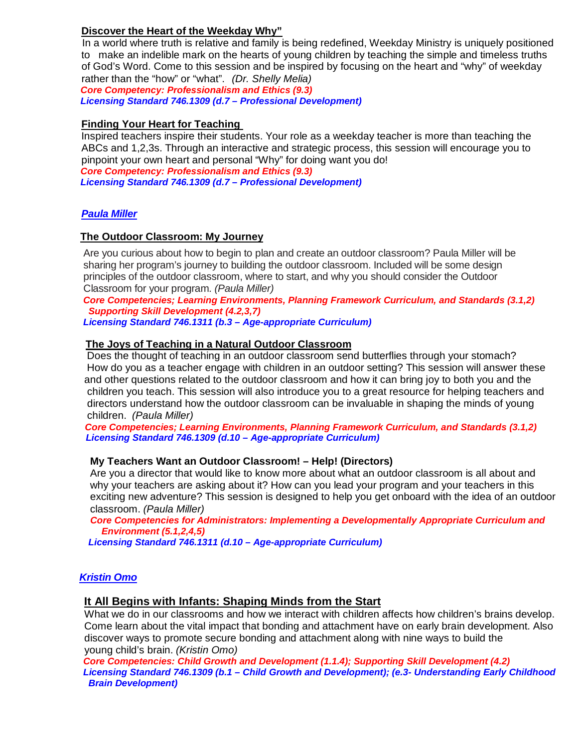## **Discover the Heart of the Weekday Why"**

 In a world where truth is relative and family is being redefined, Weekday Ministry is uniquely positioned to make an indelible mark on the hearts of young children by teaching the simple and timeless truths of God's Word. Come to this session and be inspired by focusing on the heart and "why" of weekday rather than the "how" or "what". *(Dr. Shelly Melia)*

 *Core Competency: Professionalism and Ethics (9.3) Licensing Standard 746.1309 (d.7 – Professional Development)*

## **Finding Your Heart for Teaching**

 Inspired teachers inspire their students. Your role as a weekday teacher is more than teaching the ABCs and 1,2,3s. Through an interactive and strategic process, this session will encourage you to pinpoint your own heart and personal "Why" for doing want you do!  *Core Competency: Professionalism and Ethics (9.3)*

 *Licensing Standard 746.1309 (d.7 – Professional Development)*

## *Paula Miller*

### **The Outdoor Classroom: My Journey**

 Are you curious about how to begin to plan and create an outdoor classroom? Paula Miller will be sharing her program's journey to building the outdoor classroom. Included will be some design principles of the outdoor classroom, where to start, and why you should consider the Outdoor Classroom for your program*. (Paula Miller)*

 *Core Competencies; Learning Environments, Planning Framework Curriculum, and Standards (3.1,2) Supporting Skill Development (4.2,3,7)*

 *Licensing Standard 746.1311 (b.3 – Age-appropriate Curriculum)* 

#### **The Joys of Teaching in a Natural Outdoor Classroom**

 Does the thought of teaching in an outdoor classroom send butterflies through your stomach? How do you as a teacher engage with children in an outdoor setting? This session will answer these and other questions related to the outdoor classroom and how it can bring joy to both you and the children you teach. This session will also introduce you to a great resource for helping teachers and directors understand how the outdoor classroom can be invaluable in shaping the minds of young children. *(Paula Miller)*

 *Core Competencies; Learning Environments, Planning Framework Curriculum, and Standards (3.1,2) Licensing Standard 746.1309 (d.10 – Age-appropriate Curriculum)*

#### **My Teachers Want an Outdoor Classroom! – Help! (Directors)**

 Are you a director that would like to know more about what an outdoor classroom is all about and why your teachers are asking about it? How can you lead your program and your teachers in this exciting new adventure? This session is designed to help you get onboard with the idea of an outdoor classroom. *(Paula Miller)*

 *Core Competencies for Administrators: Implementing a Developmentally Appropriate Curriculum and Environment (5.1,2,4,5)*

 *Licensing Standard 746.1311 (d.10 – Age-appropriate Curriculum)*

#### *Kristin Omo*

#### **It All Begins with Infants: Shaping Minds from the Start**

 What we do in our classrooms and how we interact with children affects how children's brains develop. Come learn about the vital impact that bonding and attachment have on early brain development. Also discover ways to promote secure bonding and attachment along with nine ways to build the young child's brain. *(Kristin Omo)*

 *Core Competencies: Child Growth and Development (1.1.4); Supporting Skill Development (4.2) Licensing Standard 746.1309 (b.1 – Child Growth and Development); (e.3- Understanding Early Childhood Brain Development)*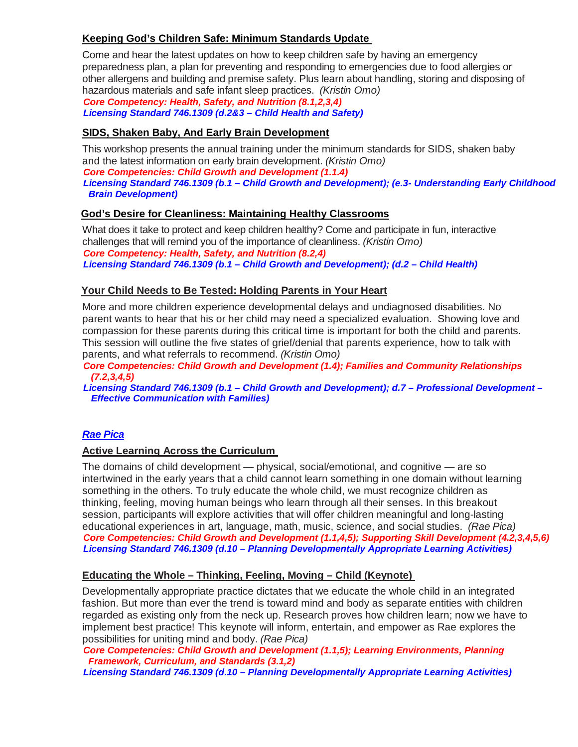## **Keeping God's Children Safe: Minimum Standards Update**

Come and hear the latest updates on how to keep children safe by having an emergency preparedness plan, a plan for preventing and responding to emergencies due to food allergies or other allergens and building and premise safety. Plus learn about handling, storing and disposing of hazardous materials and safe infant sleep practices. *(Kristin Omo)*

 *Core Competency: Health, Safety, and Nutrition (8.1,2,3,4) Licensing Standard 746.1309 (d.2&3 – Child Health and Safety)* 

## **SIDS, Shaken Baby, And Early Brain Development**

This workshop presents the annual training under the minimum standards for SIDS, shaken baby and the latest information on early brain development. *(Kristin Omo)*

 *Core Competencies: Child Growth and Development (1.1.4)*

 *Licensing Standard 746.1309 (b.1 – Child Growth and Development); (e.3- Understanding Early Childhood Brain Development)*

## **God's Desire for Cleanliness: Maintaining Healthy Classrooms**

What does it take to protect and keep children healthy? Come and participate in fun, interactive challenges that will remind you of the importance of cleanliness. *(Kristin Omo) Core Competency: Health, Safety, and Nutrition (8.2,4) Licensing Standard 746.1309 (b.1 – Child Growth and Development); (d.2 – Child Health)*

## **Your Child Needs to Be Tested: Holding Parents in Your Heart**

More and more children experience developmental delays and undiagnosed disabilities. No parent wants to hear that his or her child may need a specialized evaluation. Showing love and compassion for these parents during this critical time is important for both the child and parents. This session will outline the five states of grief/denial that parents experience, how to talk with parents, and what referrals to recommend. *(Kristin Omo)*

 *Core Competencies: Child Growth and Development (1.4); Families and Community Relationships (7.2,3,4,5)*

 *Licensing Standard 746.1309 (b.1 – Child Growth and Development); d.7 – Professional Development – Effective Communication with Families)*

## *Rae Pica*

## **Active Learning Across the Curriculum**

The domains of child development — physical, social/emotional, and cognitive — are so intertwined in the early years that a child cannot learn something in one domain without learning something in the others. To truly educate the whole child, we must recognize children as thinking, feeling, moving human beings who learn through all their senses. In this breakout session, participants will explore activities that will offer children meaningful and long-lasting educational experiences in art, language, math, music, science, and social studies. *(Rae Pica) Core Competencies: Child Growth and Development (1.1,4,5); Supporting Skill Development (4.2,3,4,5,6) Licensing Standard 746.1309 (d.10 – Planning Developmentally Appropriate Learning Activities)*

## **Educating the Whole – Thinking, Feeling, Moving – Child (Keynote)**

Developmentally appropriate practice dictates that we educate the whole child in an integrated fashion. But more than ever the trend is toward mind and body as separate entities with children regarded as existing only from the neck up. Research proves how children learn; now we have to implement best practice! This keynote will inform, entertain, and empower as Rae explores the possibilities for uniting mind and body. *(Rae Pica)*

 *Core Competencies: Child Growth and Development (1.1,5); Learning Environments, Planning Framework, Curriculum, and Standards (3.1,2) Licensing Standard 746.1309 (d.10 – Planning Developmentally Appropriate Learning Activities)*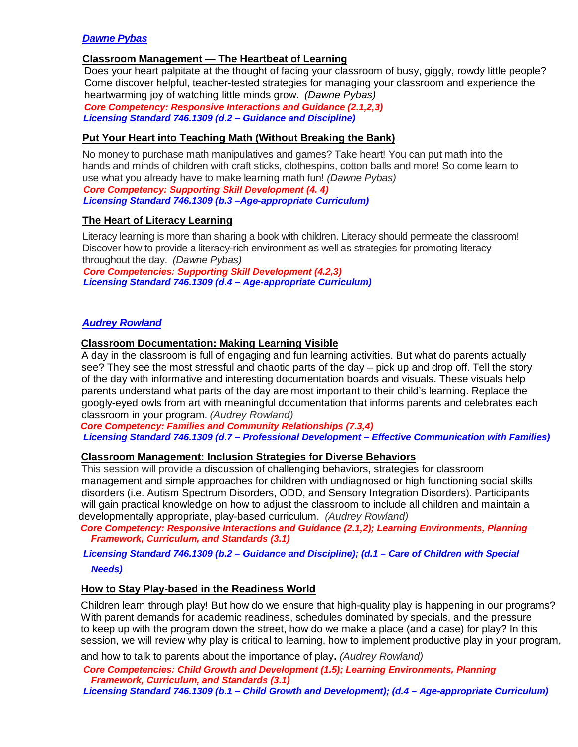## *Dawne Pybas*

## **Classroom Management — The Heartbeat of Learning**

 Does your heart palpitate at the thought of facing your classroom of busy, giggly, rowdy little people? Come discover helpful, teacher-tested strategies for managing your classroom and experience the heartwarming joy of watching little minds grow. *(Dawne Pybas)*

 *Core Competency: Responsive Interactions and Guidance (2.1,2,3) Licensing Standard 746.1309 (d.2 – Guidance and Discipline)*

#### **Put Your Heart into Teaching Math (Without Breaking the Bank)**

No money to purchase math manipulatives and games? Take heart! You can put math into the hands and minds of children with craft sticks, clothespins, cotton balls and more! So come learn to use what you already have to make learning math fun! *(Dawne Pybas)*

 *Core Competency: Supporting Skill Development (4. 4) Licensing Standard 746.1309 (b.3 –Age-appropriate Curriculum)*

### **The Heart of Literacy Learning**

Literacy learning is more than sharing a book with children. Literacy should permeate the classroom! Discover how to provide a literacy-rich environment as well as strategies for promoting literacy throughout the day. *(Dawne Pybas)*

 *Core Competencies: Supporting Skill Development (4.2,3) Licensing Standard 746.1309 (d.4 – Age-appropriate Curriculum)*

### *Audrey Rowland*

#### **Classroom Documentation: Making Learning Visible**

 A day in the classroom is full of engaging and fun learning activities. But what do parents actually see? They see the most stressful and chaotic parts of the day – pick up and drop off. Tell the story of the day with informative and interesting documentation boards and visuals. These visuals help parents understand what parts of the day are most important to their child's learning. Replace the googly-eyed owls from art with meaningful documentation that informs parents and celebrates each classroom in your program. *(Audrey Rowland)*

 *Core Competency: Families and Community Relationships (7.3,4) Licensing Standard 746.1309 (d.7 – Professional Development – Effective Communication with Families)*

#### **Classroom Management: Inclusion Strategies for Diverse Behaviors**

 This session will provide a discussion of challenging behaviors, strategies for classroom management and simple approaches for children with undiagnosed or high functioning social skills disorders (i.e. Autism Spectrum Disorders, ODD, and Sensory Integration Disorders). Participants will gain practical knowledge on how to adjust the classroom to include all children and maintain a developmentally appropriate, play-based curriculum. *(Audrey Rowland)*

 *Core Competency: Responsive Interactions and Guidance (2.1,2); Learning Environments, Planning Framework, Curriculum, and Standards (3.1)*

# *Licensing Standard 746.1309 (b.2 – Guidance and Discipline); (d.1 – Care of Children with Special*

#### *Needs)*

#### **How to Stay Play-based in the Readiness World**

Children learn through play! But how do we ensure that high-quality play is happening in our programs? With parent demands for academic readiness, schedules dominated by specials, and the pressure to keep up with the program down the street, how do we make a place (and a case) for play? In this session, we will review why play is critical to learning, how to implement productive play in your program,

and how to talk to parents about the importance of play. *(Audrey Rowland)*

 *Core Competencies: Child Growth and Development (1.5); Learning Environments, Planning Framework, Curriculum, and Standards (3.1)*

 *Licensing Standard 746.1309 (b.1 – Child Growth and Development); (d.4 – Age-appropriate Curriculum)*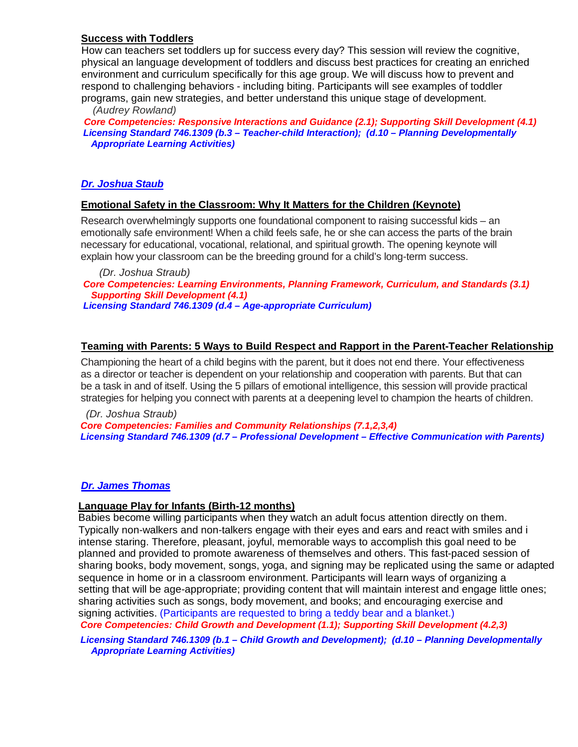## **Success with Toddlers**

 How can teachers set toddlers up for success every day? This session will review the cognitive, physical an language development of toddlers and discuss best practices for creating an enriched environment and curriculum specifically for this age group. We will discuss how to prevent and respond to challenging behaviors - including biting. Participants will see examples of toddler programs, gain new strategies, and better understand this unique stage of development.  *(Audrey Rowland)* 

 *Core Competencies: Responsive Interactions and Guidance (2.1); Supporting Skill Development (4.1) Licensing Standard 746.1309 (b.3 – Teacher-child Interaction); (d.10 – Planning Developmentally Appropriate Learning Activities)*

## *Dr. Joshua Staub*

### **Emotional Safety in the Classroom: Why It Matters for the Children (Keynote)**

Research overwhelmingly supports one foundational component to raising successful kids – an emotionally safe environment! When a child feels safe, he or she can access the parts of the brain necessary for educational, vocational, relational, and spiritual growth. The opening keynote will explain how your classroom can be the breeding ground for a child's long-term success.

 *(Dr. Joshua Straub) Core Competencies: Learning Environments, Planning Framework, Curriculum, and Standards (3.1) Supporting Skill Development (4.1) Licensing Standard 746.1309 (d.4 – Age-appropriate Curriculum)*

## **Teaming with Parents: 5 Ways to Build Respect and Rapport in the Parent-Teacher Relationship**

Championing the heart of a child begins with the parent, but it does not end there. Your effectiveness as a director or teacher is dependent on your relationship and cooperation with parents. But that can be a task in and of itself. Using the 5 pillars of emotional intelligence, this session will provide practical strategies for helping you connect with parents at a deepening level to champion the hearts of children.

 *(Dr. Joshua Straub) Core Competencies: Families and Community Relationships (7.1,2,3,4) Licensing Standard 746.1309 (d.7 – Professional Development – Effective Communication with Parents)*

## *Dr. James Thomas*

#### **Language Play for Infants (Birth-12 months)**

 Babies become willing participants when they watch an adult focus attention directly on them. Typically non-walkers and non-talkers engage with their eyes and ears and react with smiles and i intense staring. Therefore, pleasant, joyful, memorable ways to accomplish this goal need to be planned and provided to promote awareness of themselves and others. This fast-paced session of sharing books, body movement, songs, yoga, and signing may be replicated using the same or adapted sequence in home or in a classroom environment. Participants will learn ways of organizing a setting that will be age-appropriate; providing content that will maintain interest and engage little ones; sharing activities such as songs, body movement, and books; and encouraging exercise and signing activities. (Participants are requested to bring a teddy bear and a blanket.)

 *Core Competencies: Child Growth and Development (1.1); Supporting Skill Development (4.2,3)*

 *Licensing Standard 746.1309 (b.1 – Child Growth and Development); (d.10 – Planning Developmentally Appropriate Learning Activities)*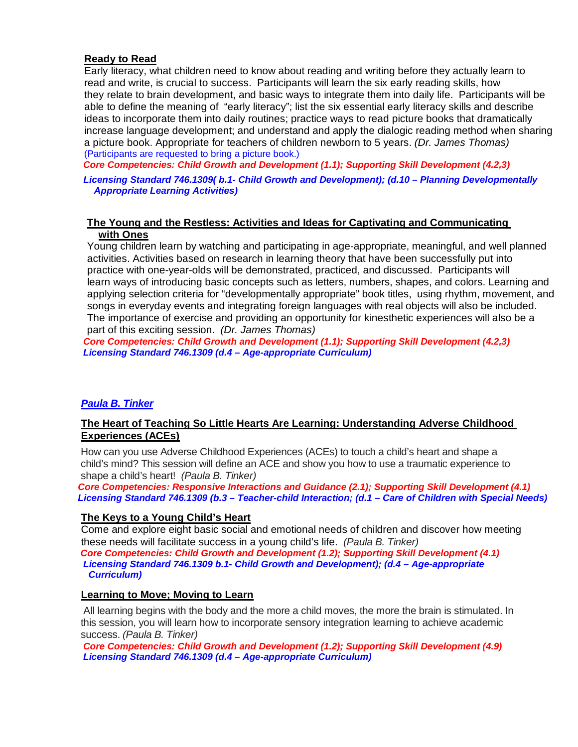## **Ready to Read**

 Early literacy, what children need to know about reading and writing before they actually learn to read and write, is crucial to success. Participants will learn the six early reading skills, how they relate to brain development, and basic ways to integrate them into daily life. Participants will be able to define the meaning of "early literacy"; list the six essential early literacy skills and describe ideas to incorporate them into daily routines; practice ways to read picture books that dramatically increase language development; and understand and apply the dialogic reading method when sharing a picture book. Appropriate for teachers of children newborn to 5 years. *(Dr. James Thomas)* (Participants are requested to bring a picture book.)

*Core Competencies: Child Growth and Development (1.1); Supporting Skill Development (4.2,3)*

*Licensing Standard 746.1309( b.1- Child Growth and Development); (d.10 – Planning Developmentally Appropriate Learning Activities)*

#### **The Young and the Restless: Activities and Ideas for Captivating and Communicating with Ones**

Young children learn by watching and participating in age-appropriate, meaningful, and well planned activities. Activities based on research in learning theory that have been successfully put into practice with one-year-olds will be demonstrated, practiced, and discussed. Participants will learn ways of introducing basic concepts such as letters, numbers, shapes, and colors. Learning and applying selection criteria for "developmentally appropriate" book titles, using rhythm, movement, and songs in everyday events and integrating foreign languages with real objects will also be included. The importance of exercise and providing an opportunity for kinesthetic experiences will also be a part of this exciting session. *(Dr. James Thomas)*

 *Core Competencies: Child Growth and Development (1.1); Supporting Skill Development (4.2,3) Licensing Standard 746.1309 (d.4 – Age-appropriate Curriculum)*

## *Paula B. Tinker*

## **The Heart of Teaching So Little Hearts Are Learning: Understanding Adverse Childhood Experiences (ACEs)**

How can you use Adverse Childhood Experiences (ACEs) to touch a child's heart and shape a child's mind? This session will define an ACE and show you how to use a traumatic experience to shape a child's heart! *(Paula B. Tinker)*

 *Core Competencies: Responsive Interactions and Guidance (2.1); Supporting Skill Development (4.1) Licensing Standard 746.1309 (b.3 – Teacher-child Interaction; (d.1 – Care of Children with Special Needs)*

## **The Keys to a Young Child's Heart**

Come and explore eight basic social and emotional needs of children and discover how meeting these needs will facilitate success in a young child's life. *(Paula B. Tinker)*

 *Core Competencies: Child Growth and Development (1.2); Supporting Skill Development (4.1) Licensing Standard 746.1309 b.1- Child Growth and Development); (d.4 – Age-appropriate Curriculum)*

#### **Learning to Move; Moving to Learn**

All learning begins with the body and the more a child moves, the more the brain is stimulated. In this session, you will learn how to incorporate sensory integration learning to achieve academic success. *(Paula B. Tinker)*

 *Core Competencies: Child Growth and Development (1.2); Supporting Skill Development (4.9) Licensing Standard 746.1309 (d.4 – Age-appropriate Curriculum)*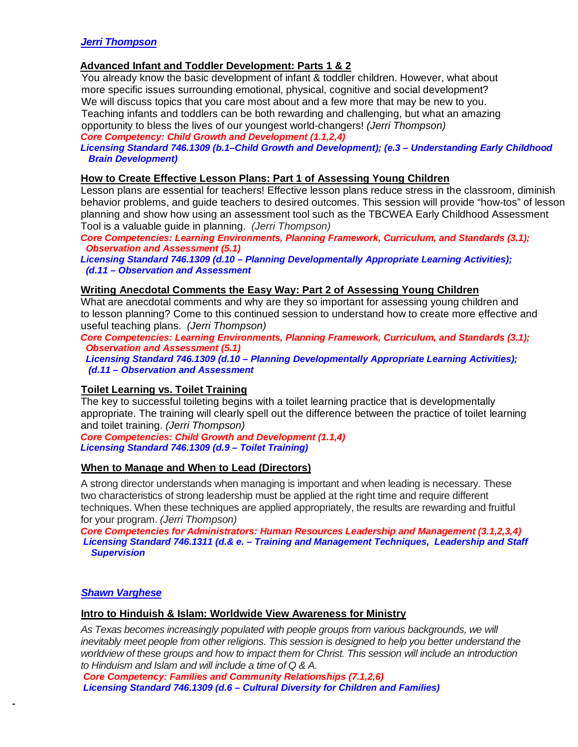## **Advanced Infant and Toddler Development: Parts 1 & 2**

 You already know the basic development of infant & toddler children. However, what about more specific issues surrounding emotional, physical, cognitive and social development? We will discuss topics that you care most about and a few more that may be new to you. Teaching infants and toddlers can be both rewarding and challenging, but what an amazing opportunity to bless the lives of our youngest world-changers! *(Jerri Thompson) Core Competency: Child Growth and Development (1.1,2,4)*

 *Licensing Standard 746.1309 (b.1–Child Growth and Development); (e.3 – Understanding Early Childhood Brain Development)*

### **How to Create Effective Lesson Plans: Part 1 of Assessing Young Children**

Lesson plans are essential for teachers! Effective lesson plans reduce stress in the classroom, diminish behavior problems, and guide teachers to desired outcomes. This session will provide "how-tos" of lesson planning and show how using an assessment tool such as the TBCWEA Early Childhood Assessment Tool is a valuable guide in planning. *(Jerri Thompson)*

 *Core Competencies: Learning Environments, Planning Framework, Curriculum, and Standards (3.1); Observation and Assessment (5.1)*

 *Licensing Standard 746.1309 (d.10 – Planning Developmentally Appropriate Learning Activities); (d.11 – Observation and Assessment*

### **Writing Anecdotal Comments the Easy Way: Part 2 of Assessing Young Children**

What are anecdotal comments and why are they so important for assessing young children and to lesson planning? Come to this continued session to understand how to create more effective and useful teaching plans. *(Jerri Thompson)*

 *Core Competencies: Learning Environments, Planning Framework, Curriculum, and Standards (3.1); Observation and Assessment (5.1)*

 *Licensing Standard 746.1309 (d.10 – Planning Developmentally Appropriate Learning Activities); (d.11 – Observation and Assessment*

#### **Toilet Learning vs. Toilet Training**

The key to successful toileting begins with a toilet learning practice that is developmentally appropriate. The training will clearly spell out the difference between the practice of toilet learning and toilet training. *(Jerri Thompson)*

 *Core Competencies: Child Growth and Development (1.1,4) Licensing Standard 746.1309 (d.9 – Toilet Training)*

#### **When to Manage and When to Lead (Directors)**

A strong director understands when managing is important and when leading is necessary. These two characteristics of strong leadership must be applied at the right time and require different techniques. When these techniques are applied appropriately, the results are rewarding and fruitful for your program. *(Jerri Thompson)*

 *Core Competencies for Administrators: Human Resources Leadership and Management (3.1,2,3,4) Licensing Standard 746.1311 (d.& e. – Training and Management Techniques, Leadership and Staff Supervision* 

#### *Shawn Varghese*

#### **Intro to Hinduish & Islam: Worldwide View Awareness for Ministry**

*As Texas becomes increasingly populated with people groups from various backgrounds, we will inevitably meet people from other religions. This session is designed to help you better understand the worldview of these groups and how to impact them for Christ. This session will include an introduction to Hinduism and Islam and will include a time of Q & A.* 

 *Core Competency: Families and Community Relationships (7.1,2,6) Licensing Standard 746.1309 (d.6 – Cultural Diversity for Children and Families)*